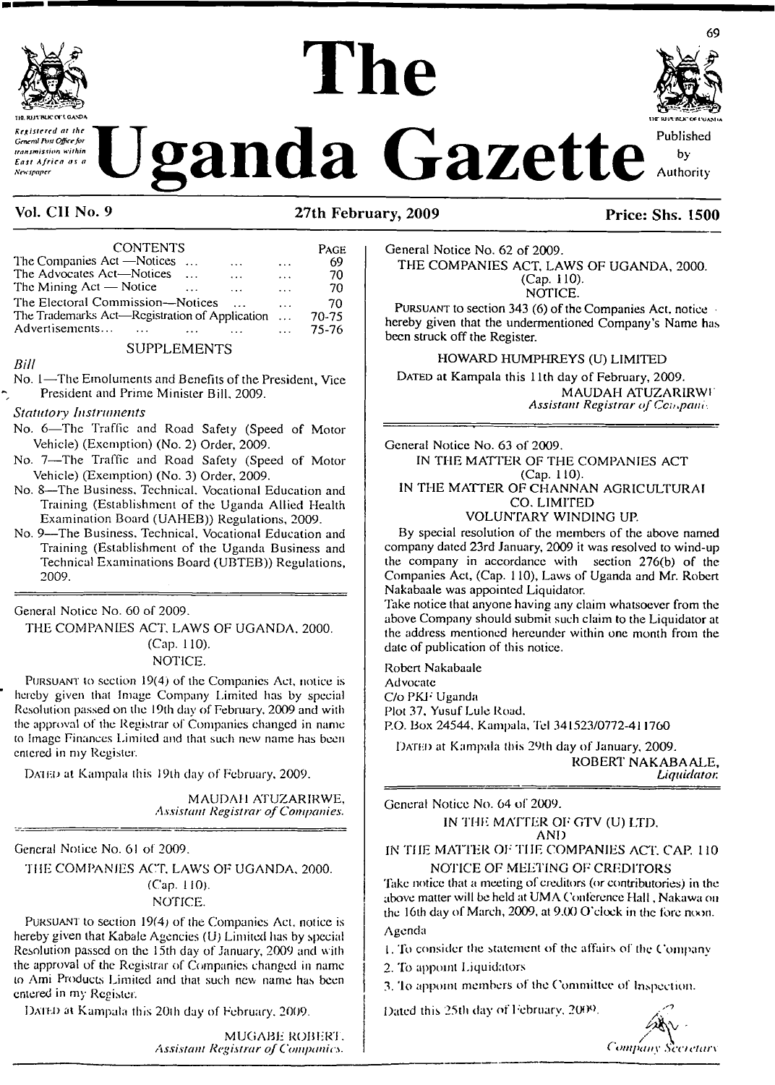

*Concent Post Office for* ar the Concent Published Concent Published Concent Published Concent Published Concentration within

# **TIO. RfJl BLK? Of'<sup>I</sup> GA.XDA The**



by Authority

# **Vol. CII No. 9 27th February, 2009 Price: Shs. 1500**

| <b>CONTENTS</b>                                      |               | PAGE  |
|------------------------------------------------------|---------------|-------|
| The Companies Act —Notices<br>$\sim 100$<br>$\cdots$ | $\ddotsc$     | 69    |
| The Advocates Act—Notices<br>$\ddotsc$<br>$\cdots$   | $\ddotsc$     | 70    |
| The Mining $Act - Notice$<br>$\cdots$                | $\cdots$      | 70    |
| The Electoral Commission—Notices                     | $\cdots$      | 70    |
| The Trademarks Act-Registration of Application       | $\sim$ $\sim$ | 70-75 |
| Advertisements                                       | $\ddotsc$     | 75-76 |
|                                                      |               |       |

# SUPPLEMENTS

*Bill*

No. <sup>1</sup>—The Emoluments and Benefits of the President, Vice President and Prime Minister Bill, 2009.

*Statutory Instruments*

- No. 6—The Traffic and Road Safety (Speed of Motor Vehicle) (Exemption) (No. 2) Order, 2009.
- No. 7—The Traffic and Road Safety (Speed of Motor Vehicle) (Exemption) (No. 3) Order, 2009.
- No. 8—The Business, Technical. Vocational Education and Training (Establishment of the Uganda Allied Health Examination Board (UAHEB)) Regulations, 2009.
- No. 9—The Business. Technical, Vocational Education and Training (Establishment of the Uganda Business and Technical Examinations Board (UBTEB)) Regulations, 2009.

General Notice No. 60 of 2009.

THE COMPANIES ACT. LAWS OF UGANDA. 2000. (Cap. 110). NOTICE.

Pursuant to section 19(4) of the Companies Act, notice is hereby given that Image Company Limited has by special Resolution passed on the 19th day of February, 2009 and with the approval of the Registrar of Companies changed in name to Image Finances Limited and that such new name has been entered in my Register.

DATED at Kampala this 19th day of February, 2009.

MAUDAH ATUZARIRWE, *Assistant Registrar ofCompanies.*

General Notice No. 61 of 2009.

THE COMPANIES ACT. LAWS OF UGANDA, 2000. (Cap. 110). NOTICE.

Pursuant to section 19(4) of the Companies Act, notice is hereby given that Kabale Agencies (U) Limited has by special Resolution passed on the 15th day of January, 2009 and with the approval of the Registrar of Companies changed in name to Ami Products Limited and that such new name has been entered in my Register.

Dated at Kampala this 20th day of February. 2009.

MUGABE ROBERT. *Assistant Registrar ofCompanies.*

General Notice No. 62 of 2009. THE COMPANIES ACT. LAWS OF UGANDA, 2000. (Cap. 110). NOTICE.

PURSUANT to section 343 (6) of the Companies Act, notice hereby given that the undermentioned Company's Name has been struck off the Register.

HOWARD HUMPHREYS (U) LIMITED

DATED at Kampala this 11th day of February, 2009. MAUDAH ATUZARIRWI *Assistant Registrar ofCcmpaiti-.*

General Notice No. 63 of 2009. IN THE MATTER OF THE COMPANIES ACT (Cap. 110). IN THE MATTER OF CHANNAN AGRICULTURAI CO. LIMITED

#### VOLUNTARY WINDING UP.

By special resolution of the members of the above named company dated 23rd January, 2009 it was resolved to wind-up the company in accordance with section 276(b) of the Companies Act, (Cap. 110), Laws of Uganda and Mr. Robert Nakabaale was appointed Liquidator.

Take notice that anyone having any claim whatsoever from the above Company should submit such claim to the Liquidator at the address mentioned hereunder within one month from the date of publication of this notice.

Robert Nakabaale

Advocate C/o PKF Uganda Plot 37, Yusuf Lule Road. P.O. Box 24544, Kampala, Tel 341523/0772-411760

DATED at Kampala this 29th day of January, 2009. ROBERT NAKABAALE, *Liquidator.*

General Notice No. 64 of 2009.

IN THE MATTER OF GTV (U) LTD. AND

IN THE MATTER OF THE COMPANIES ACT, CAP. 110 NOTICE OF MEETING OF CREDITORS

'Take notice that a meeting of creditors (or contributories) in the above matter will be held at UMA Conference Hall, Nakawa on the 16th day of March, 2009, at 9.00 O'clock in the fore noon. Agenda

1. To consider the statement of the affairs of the Company

2. To appoint Liquidators

3. Io appoint members of the Committee of Inspection.

Dated this 25th day of February. 2009.

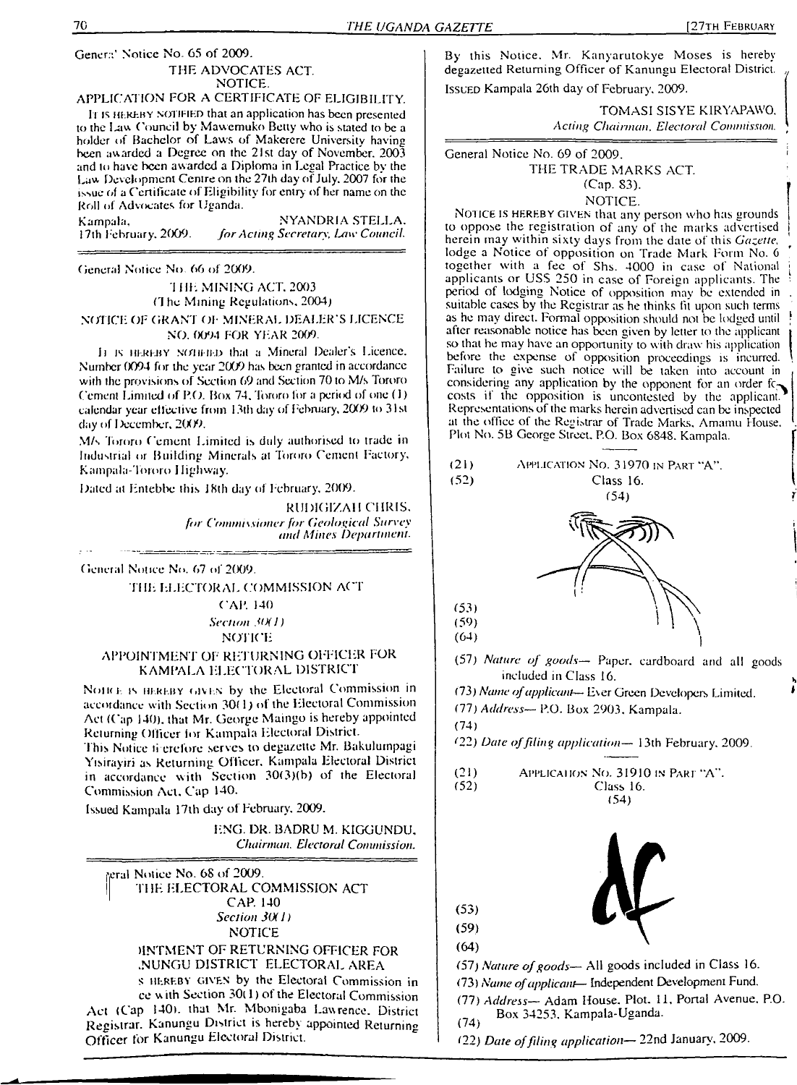Genera' Notice No. 65 of 2009. THE ADVOCATES ACT. NOTICE.

#### APPLICATION FOR A CERTIFICATE OF ELIGIBILITY.

It is HEREBY NOTIFIED that an application has been presented to the I-aw Council by Mawemuko Betty who is stated to be a holder of Bachelor of Laws of Makerere University having been awarded a Degree on the 21st day of November. 2003 and io have been awarded a Diploma in Legal Practice by the Law Development Centre on the 27th day of July. 2007 for the issue of a Certificate of Eligibility for entry of her name on the Roll of Advocates for Uganda.

Kampala, NYANDRIA STELLA.<br>17th February, 2009. *for Acting Secretary, Law Council.* 17th February. 2009. *forActing Secretary, Law Council.*

General Notice No 66 ol 2009.

<sup>1</sup> HE MINING ACT. 2003 (7 he Mining Regulations. 2004)

NOTICE OF GRANT OF MINERAL DEALER'S LICENCE NO. 0094 FOR YEAR 2009.

<sup>11</sup> is hereby' N(niHi-i) that a Mineral Dealer's Licence. Number 0094 for the year 2009 has been granted in accordance with the provisions of Section 69 and Section 70 to M/s Torero Cement Limited of P.O. Box 74. Tororo for a period of one (1) calendar year effective from 13th day of February, 2009 to 31st day of December, 2009.

M/s Tororo Cement Limited is duly authorised to trade in Industrial or Building Minerals al Tororo Cement Factory. Kampala-Tororo <sup>I</sup> lighway.

Dated at Entebbe this <sup>J</sup> 8th day of February. 2009.

RUDIG1ZAH CHRIS. *for Commissioner for Geological Survey and Mines Department.*

General Notice No. 67 of 2009.

\_\_\_\_\_\_\_\_\_\_\_\_

THE ELECTORAL COMMISSION ACT

CAP. 140 *Section <tX /)*

NOTICE

#### APPOINTMENT OF RETURNING OFFICER FOR KAMPALA ELECTORAL DISTRICT

NOIRE IS HEREBY GIVEN by the Electoral Commission in accordance with Section 30( 1) of the Electoral Commission Act (Cap 140). that Mr. George Maingo is hereby appointed Returning Officer lor Kampala Electoral District.

This Notice ti erefore serves to degazette Mr. Bakulumpagi Yisirayiri as Returning Officer. Kampala Electoral District in accordance with Section 3O(3)(b) of the Electoral Commission Act. Cap 140.

Issued Kampala 17th day of February. 2009.

ENG. DR. BADRU M. KIGGUNDU, *Chairman. Electoral Commission.*

feral Notice No. 68 of 2009. THE ELECTORAL COMMISSION ACT CAP. 140 *Section 3()( J)* NOTICE

> HNTMENT OF RETURNING OFFICER FOR .NUNGU DISTRICT ELECTORAL AREA

s hereby given by the Electoral Commission in ce <sup>w</sup> ith Section 30( 1) of the Electoral Commission Act (Cap 140), that Mr. Mbonigaba Lawrence, District Registrar. Kanungu District is hereby appointed Returning Officer for Kanungu Electoral District.

By this Notice. Mr. Kanyarutokye Moses is hereby degazetted Returning Officer of Kanungu Electoral District. Issued Kampala 26th day of February. 2009.

> TOMASI SISYE KIRYAPAWO. *Acting Chairman, Electoral Commission.*

General Notice No. 69 of 2009. THE TRADE MARKS ACT (Cap. S3).

NOTICE.

NOTICE IS HEREBY GIVEN that any person who has grounds to oppose the registration of any of the marks advertised herein may within sixty days from the date of this *Gazette.* lodge a Notice of opposition on Trade Mark Form No. <sup>6</sup> together with a fee of Shs. 4000 in case of National applicants or USS 250 in case of Foreign applicants. The period of lodging Notice of opposition may be extended in suitable cases by the Registrar as he thinks fit upon such terms as he may direct. Formal opposition should not be lodged until after reasonable notice has been given by letter to the applicant so that he may have an opportunity to with draw his application before the expense of opposition proceedings is incurred. Failure to give such notice will be taken into account in considering any application by the opponent for an order fc $\gamma$ costs if the opposition is uncontested by the applicant. Representations of the marks herein advertised can be inspected at the office of the Registrar of Trade Marks. Amamu House. Plot No. 5B George Street. P.O. Box 6848. Kampala.



(77) *Address—* Adam House. Plot. 11, Portal Avenue. P.O. Box 34253. Kampala-Uganda. (74)

(22) *Date offiling application—* 22nd January, 2009.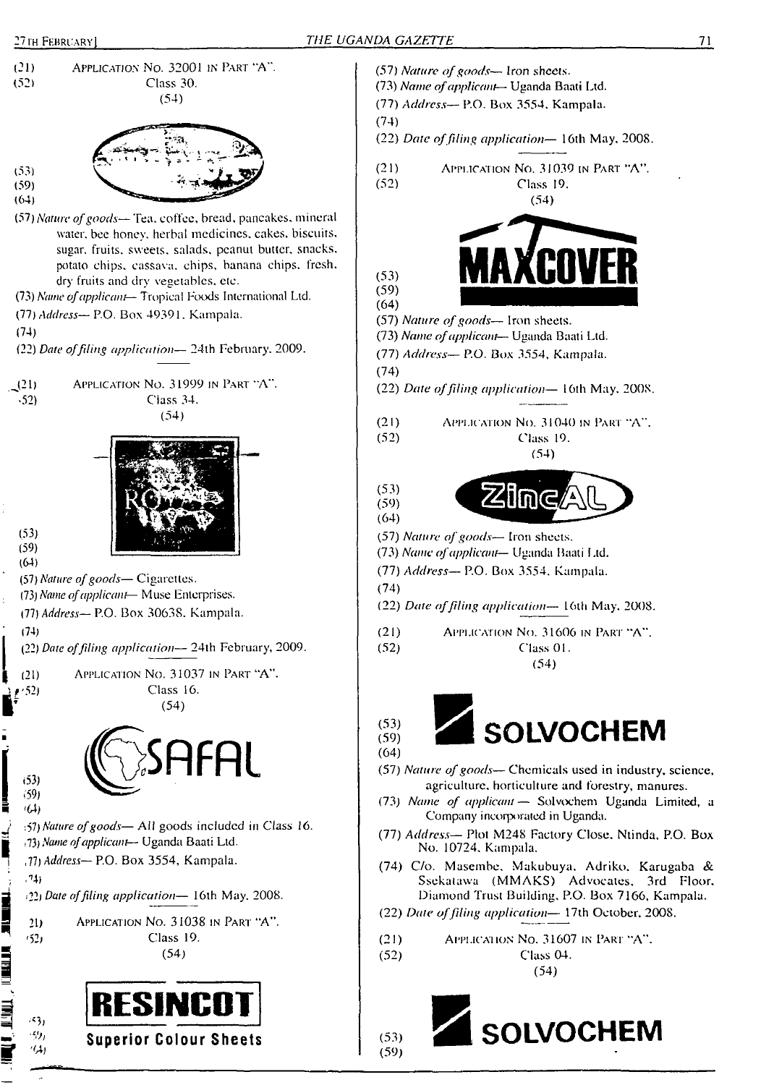



- (22) *Date offiling application—* 16th May, 2008. (21) Application No. 31039 in Part "A". (52) Class 19. (54) **MftXCOVER** (57) *Nature ofgoods—* Iron sheets. (73) *Name ofapplicant*— Uganda Baati Ltd. (77) *Address—* P.O. Box 3554, Kampala. (22) *Date offiling application—* 16th May, 2008. (21) Application No. 31040 in Pari "A". (52) Class 19. (54) **ZKIIMG** (57) *Nature ofgoods—* Iron sheets. (73) *Name ofapplicant—* Uganda Baati Ltd. (77) *Address—* P.O. Box 3554. Kampala. (22) *Date offiling application—* 16th May, 2008. (21) Application No. 31606 in Part "A".<br>(52)  $\qquad$  Class 01. (52) Class 01. (54)  $\overline{\text{SOLVOCHEM}}$ (57) *Nature ofgoods—* Chemicals used in industry, science, agriculture, horticulture and forestry, manures. (73) *Name of applicant—* Solvochem Uganda Limited, a Company incorporated in Uganda. (77) *Address—* Plot M248 Factory Close, Ntinda, P.O. Box No. 10724, Kampala. (74) C/o. Masembe, Makubuya, Adriko. Karugaba & Ssekatawa (MMAKS) Advocates. 3rd Floor. Diamond Trust Building. P.O. Box 7166, Kampala. (22) *Date offiling application—* 17th October, 2008. (21) Applicai ion No. 31607 in Pari "A". (52) Class 04.
	- (54)

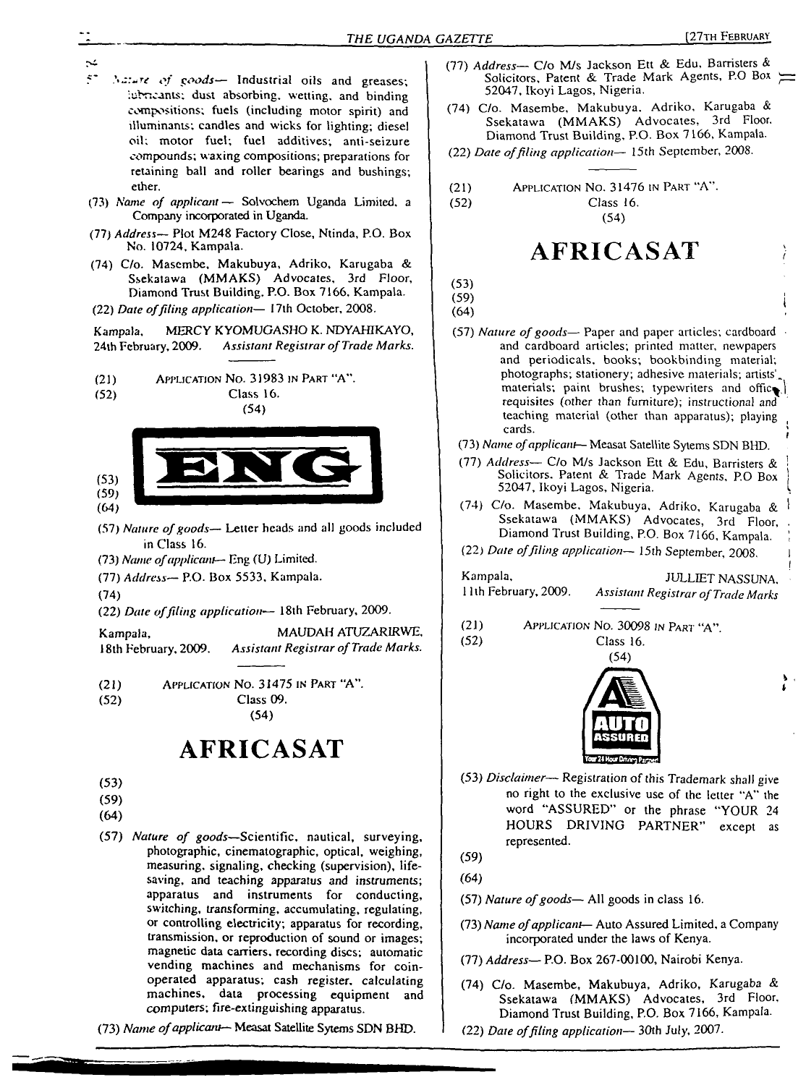I

**\* I**

- 5' *of goods—* Industrial oils and greases; iubncants; dust absorbing, wetting, and binding compositions; fuels (including motor spirit) and iHuminants; candles and wicks for lighting; diesel oil; motor fuel; fuel additives; anti-seizure compounds; waxing compositions; preparations for retaining ball and roller bearings and bushings; ether.
- (73) *Name of applicant —* Solvochem Uganda Limited, a Company incorporated in Uganda.
- (77) *Address—* Plot M248 Factory Close, Ntinda, P.O. Box No. 10724, Kampala.
- (74) C/o. Masembe, Makubuya, Adriko, Karugaba & Ssekatawa (MMAKS) Advocates, 3rd Floor, Diamond Trust Building, P.O. Box 7166, Kampala.
- (22) *Date offiling application—* 17th October, 2008.

Kampala. MERCY KYOMUGASHO K. NDYAHIKAYO, 24th February, 2009, *Assistant Registrar ofTrade Marks.*

(21) Application No. 31983 in Part "A".

(52) Class 16.<br>  $(54)$ 



- (57) *Nature ofgoods—* Letter heads and all goods included in Class 16.
- (73) *Name ofapplicant—* Eng (U) Limited.
- (77) *Address—* P.O. Box 5533, Kampala.

(74)

(22) *Date offiling application'*— 18th February, 2009.

Kampala, MAUDAH ATUZARIRWE, <sup>1</sup>8th February, 2009. *Assistant Registrar ofTrade Marks.*

(21) Application No. 31475 in Part "A". (52) Class 09. (54)

**AFRICASAT**

- (53)
- (59)
- (64)
- (57) *Nature of goods—*Scientific, nautical, surveying, photographic, cinematographic, optical, weighing, measuring, signaling, checking (supervision), lifesaving, and teaching apparatus and instruments; apparatus and instruments for conducting, switching, transforming, accumulating, regulating, or controlling electricity; apparatus for recording, transmission, or reproduction of sound or images; magnetic data carriers, recording discs; automatic vending machines and mechanisms for coinoperated apparatus; cash register, calculating machines, data processing equipment and computers; fire-extinguishing apparatus.

(73) *Name ofapplicant—* Measat Satellite Sytems SDN BHD.

- (77) *Address—* C/o M/s Jackson Ett & Edu, Barristers & Solicitors, Patent & Trade Mark Agents, P.O Box 52047, Ikoyi Lagos, Nigeria.
- (74) C/o. Masembe, Makubuya. Adriko, Karugaba & Ssekatawa (MMAKS) Advocates, 3rd Floor. Diamond Trust Building, P.O. Box 7166, Kampala.
- (22) *Date offiling application—* 15th September, 2008.
- (21) (52) Application No. 31476 in Part "A'

Class 16. (54)

# **AFRICASAT**

- (53) (59)
- (64)

(57) *Nature ofgoods—* Paper and paper articles; cardboard • and cardboard articles; printed matter, newpapers and periodicals, books; bookbinding material; photographs; stationery; adhesive materials; artists', materials; paint brushes; typewriters and offic^ requisites (other than furniture); instructional and teaching material (other than apparatus); playing cards. The contract of the contract of the contract of the contract of the contract of the contract of the contract of the contract of the contract of the contract of the contract of the contract of the contract of the con

- (73) *Name ofapplicant—* Measat Satellite Sytems SDN BHD.
- (77) *Address* C/o M/s Jackson Ett & Edu, Barristers & Solicitors. Patent & Trade Mark Agents, P.O Box 52047, Ikoyi Lagos, Nigeria.
- (74) C/o. Masembe, Makubuya, Adriko, Karugaba & <sup>1</sup> Ssekatawa (MMAKS) Advocates, 3rd Floor, Diamond Trust Building, P.O. Box 7166, Kampala. '
- (22) *Dare offiling application—* 15th September, 2008. <sup>I</sup>

Kampala, JULLIET NASSUNA, JULLIET NASSUNA, Juth February, 2009. Assistant Registrar of Trade Marks <sup>11</sup> th February, 2009. *Assistant Registrar ofTrade Marks*

(21) Application No. 30098 in Pari "A".







(53) *Disclaimer—* Registration of this Trademark shall give no right to the exclusive use of the letter "A" the word "ASSURED" or the phrase "YOUR 24 HOURS DRIVING PARTNER" except as represented.

(59) (64)

- (57) *Nature ofgoods—* All goods in class 16.
- (73) *Name ofapplicant—* Auto Assured Limited, a Company incorporated under the laws of Kenya.
- (77) *Address—* P.O. Box 267-00100, Nairobi Kenya.
- (74) C/o. Masembe, Makubuya, Adriko, Karugaba & Ssekatawa (MMAKS) Advocates, 3rd Floor, Diamond Trust Building, P.O. Box 7166, Kampala.
- (22) *Date offiling application—* 30th July, 2007.

 $\sim$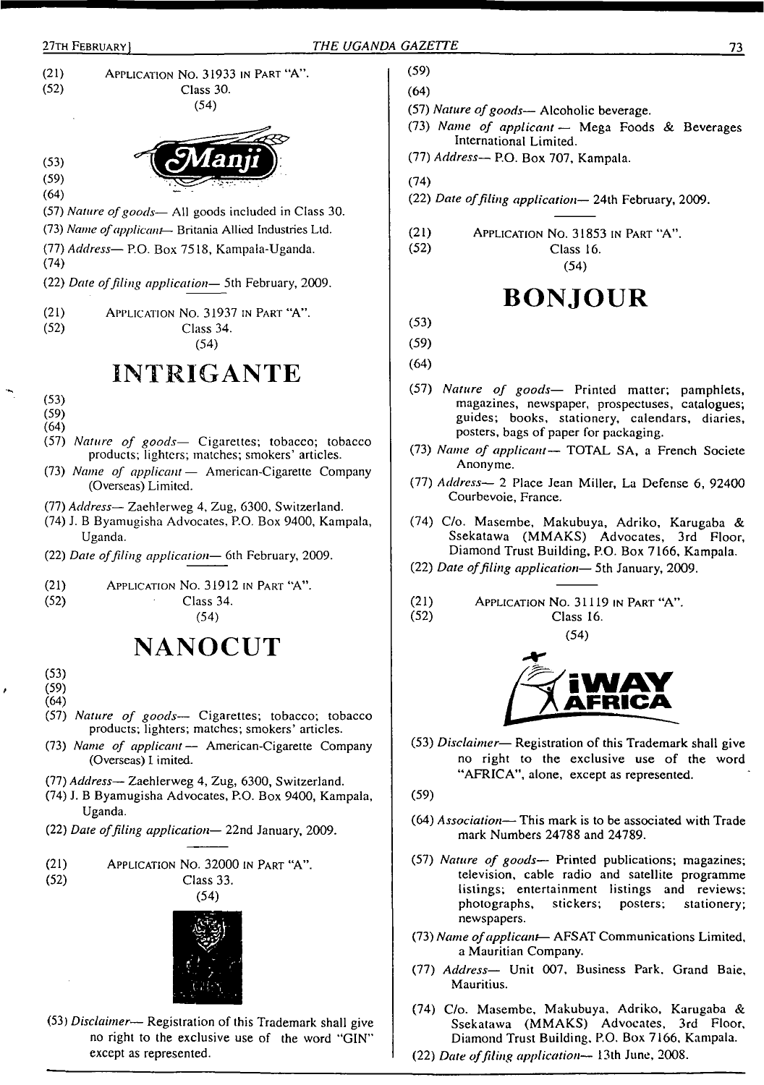



(53) *Disclaimer—* Registration of this Trademark shall give no right to the exclusive use of the word "GIN" except as represented.

- (57) *Nature ofgoods—* Alcoholic beverage.
- (73) *Name of applicant —* Mega Foods & Beverages International Limited.
- (77) *Address* P.O. Box 707, Kampala.
- (22) *Date offiling application—* 24th February, 2009.
- (21) Application No. 31853 in Part "A".

Class 16. (54)

# **BONJOUR**

- (57) *Nature of goods—* Printed matter; pamphlets, magazines, newspaper, prospectuses, catalogues; guides; books, stationery, calendars, diaries, posters, bags of paper for packaging.
- (73) *Name of applicant—* TOTAL SA, a French Societe Anonyme.
- (77) *Address^* 2 Place Jean Miller, La Defense 6, 92400 Courbevoie, France.
- (74) C/o. Masembe, Makubuya, Adriko, Karugaba & Ssekatawa (MMAKS) Advocates, 3rd Floor, Diamond Trust Building, P.O. Box 7166, Kampala.
- (22) *Date offiling application—* 5 th January, 2009.
- $(21)$  Application No. 31119 in Part "A".<br> $(52)$  Class 16. Class 16.

(54)



- (53) *Disclaimer* Registration of this Trademark shall give no right to the exclusive use of the word "AFRICA", alone, except as represented.
- (64) *Association—* This mark is to be associated with Trade mark Numbers 24788 and 24789.
- (57) *Nature of goods—* Printed publications; magazines; television, cable radio and satellite programme listings; entertainment listings and reviews; photographs, stickers; posters; stationery; newspapers.
- (73) *Name ofapplicant* AFSAT Communications Limited, a Mauritian Company.
- (77) *Address—* Unit 007, Business Park. Grand Baie, Mauritius.
- (74) C/o. Masembe, Makubuya, Adriko, Karugaba & Ssekatawa (MMAKS) Advocates, 3rd Floor, Diamond Trust Building, P.O. Box 7166, Kampala.
- (22) *Date offiling application—* 13th June, 2008.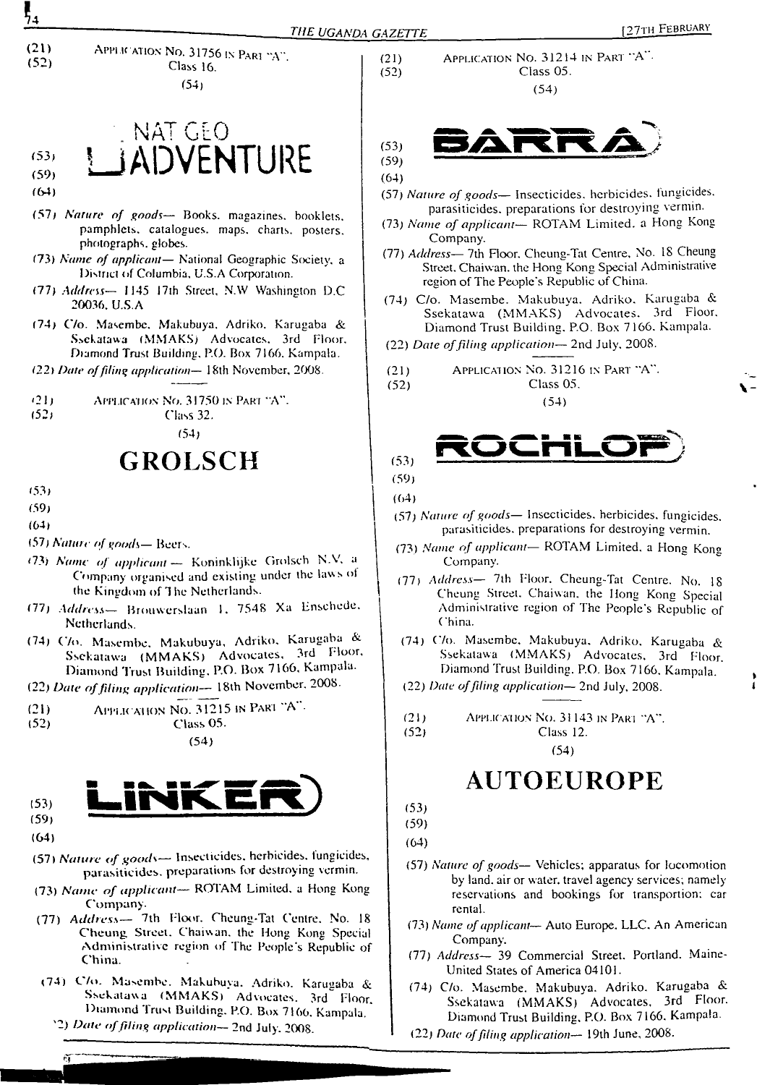



- (64)
- (57<sup>j</sup> *Nature of goods—* Books, magazines, booklets, pamphlets, catalogues, maps, charts, posters, photographs, globes.
- (73) *Name of applicant—* National Geographic Society, a District of Columbia, U.S.A Corporation.
- (77) *Address—* 1145 17th Street, N.W Washington D.C 20036. U.S.A
- (74) C/o. Masembe. Makubuya. Adriko. Karugaba & Ssekatawa (MMAKS) Advocates. 3rd Floor. Diamond Trust Building. P.O. Box 7166. Kampala.
- *122} Date offding application—* 18th November, 2008.
- (21) Application No. 31750 is Part  $A''$ .<br>(52) Class 32.
- 

(52; Class 32. (54)

# **GROLSCH**

- (53)
- (59)
- (64)
- (57) *Nature of goods—* Beers.
- <73) *Name of applicant* Koninklijke Grolsch N.V, <sup>a</sup> Company organised and existing under the laws of (he Kingdom of The Netherlands.
- (77) *Address—* Brouwerslaan 1. 7548 Xa Enschede. Netherlands.
- (74) C/o. Masembe. Makubuya, Adriko. Karugaba & Ssekatawa (MMAKS) Advocates, 3rd Floor, Diamond Trust Building. P.O- Box 7166, Kampala.
- (22) *Date offiling application—* 18th November, 2008.

(21) Applic ation No. 31215 in Pari A • (52) Class 05.

(54)



(64)

ñΤ

- (57) *Nature of goods—* Insecticides, herbicides, fungicides, parasiticides, preparations for destroying vermin.
- (73) *Name of applicant—* ROTAM Limited, <sup>a</sup> Hong Kong Company.
- (77) *Address—* 7th Floor. Cheung-Tat Centre. No. <sup>18</sup> Cheung Street. Chaiwan. the Hong Kong Special Administrative region of The People's Republic of China.
- (74) C/o. Masembe. Makubuya. Adriko. Karugaba & Ssekatawa (MMAKS) Advocates. 3rd Floor. Diamond Trust Building. P.O. Box 7166. Kampala.
	- '2) *Date offiling application—* 2nd July. 2008.

Class 16.  $(52)$  Class 05.  $(54)$  (54)



(64)

- (57) *Nature of goods—* Insecticides, herbicides, fungicides, parasiticides, preparations for destroying vermin.
- (73) *Name of applicant—* ROTAM Limited, a Hong Kong Company.
- (77) *Address—* 7th Floor. Cheung-Tat Centre, No. 18 Cheung Street. Chaiwan. the Hong Kong Special Administrative region of The People's Republic of China.
- (74) C/o. Masembe. Makubuya. Adriko. Karugaba & Ssekatawa (MMAKS) Advocates. 3rd Floor. Diamond Trust Building. P.O. Box 7 166. Kampala.
- (22) *Date offiling application—* 2nd July. 2008.

(21) Application No. 31216 in Part "A". (52) Class 05.



(54)

$$
(59)
$$

(64)

- (57) *Nature of goods—* Insecticides, herbicides, fungicides, parasiticides, preparations for destroying vermin.
- (73) *Name of applicant—* ROTAM Limited, <sup>a</sup> Hong Kong Company.
- (77) *Address—* 7th Floor. Cheung-Tat Centre. No. 18 Cheung Street. Chaiwan. the Hong Kong Special Administrative region of The People's Republic of China.
- (74) C/o. Masembe. Makubuya. Adriko, Karugaba & Ssekatawa (MMAKS) Advocates. 3rd Floor. Diamond Trust Building. P.O. Box 7166. Kampala. <sup>&</sup>gt;
- (22) *Dale offiling application—* 2nd July, 2008. **<sup>1</sup>**
- (21) Applic ation No. 31143 in Pari "A". (52) Class 12.

(54)

# **AUTOEUROPE**

(53)

(59) (64)

- (57) *Nature of goods—* Vehicles; apparatus for locomotion by land, air or water, travel agency services; namely reservations and bookings for transportion: car rental.
- (73) *Name of applicant—* Auto Europe. LLC. An American Company.
- (77) *Address—* 39 Commercial Street. Portland. Maine-United Stales of America 04101.
- (74) C/o. Masembe. Makubuya. Adriko. Karugaba & Ssekatawa (MMAKS) Advocates, 3rd Floor. Diamond Trust Building, P.O. Box 7166. Kampala.
- (22) *Date offling application—* 19th June, 2008.

54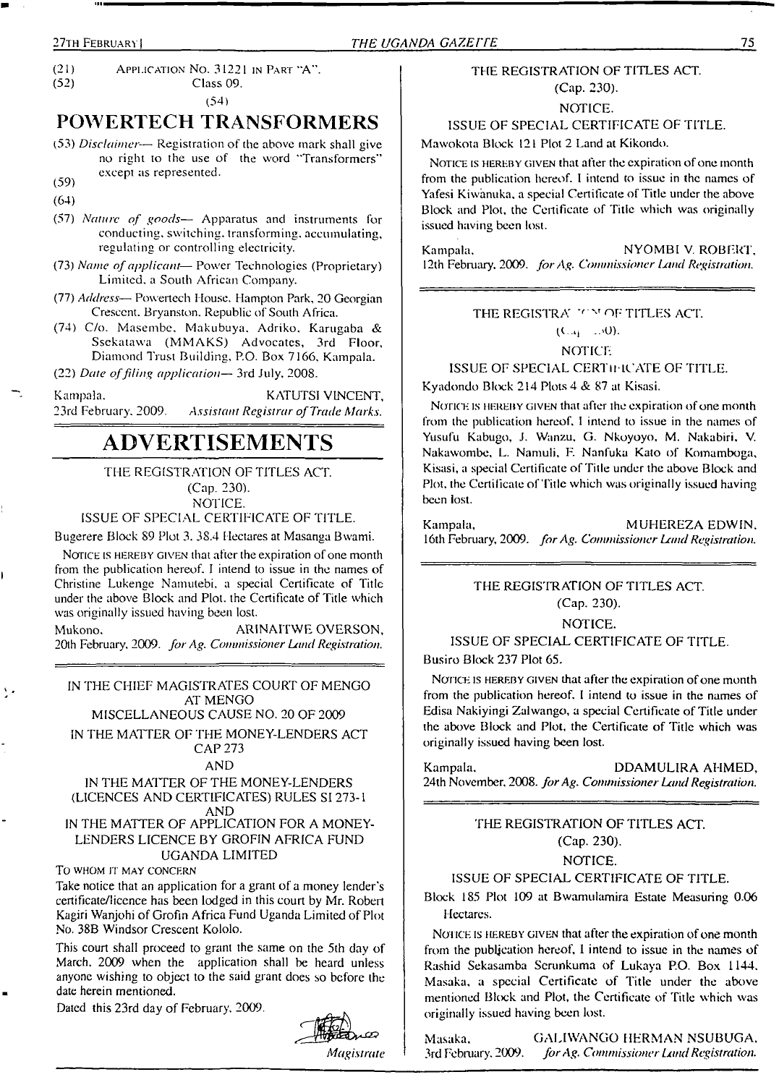(21) Application No.  $31221$  in Part "A".<br>(52) Class 09. (52) Class 09.

(54)

# **POWERTECH TRANSFORMERS**

(53) *Disclaimer*— Registration of the above mark shall give no right to the use of the word "Transformers" except as represented.

 $(59)$ 

(64)

- (57) *Nature of goods—* Apparatus and instruments for conducting, switching, transforming, accumulating, regulating or controlling electricity.
- (73) *Name ofapplicant* Power Technologies (Proprietary) Limited, a South African Company.
- (77) *Address—* Powertech House. Hampton Park, 20 Georgian Crescent. Bryanston. Republic of South Africa.
- (74) C/o. Masembe. Makubuya. Adriko. Karugaba & Ssekatawa (MMAKS) Advocates, 3rd Floor, Diamond Trust Building, P.O. Box 7166. Kampala.

(22) *Date offiling application—* 3rd July. 2008.

Kampala. KATUTSI VINCENT,<br>23rd February, 2009. Assistant Registrar of Trade Marks. 23rd February. 2009. *Assistant Registrar ofTrade Marks.*

# **ADVERTISEMENTS**

# THE REGISTRATION OF TITLES ACT. (Cap. 230).

NOTICE.

ISSUE OF SPECIAL CERTIFICATE OF TITLE.

Bugerere Block 89 Plot 3. 38.4 Hectares at Masanga Bwami.

NOTICE IS HEREBY GIVEN that after the expiration of one month from the publication hereof. I intend to issue in the names of Christine Lukenge Namutebi. a special Certificate of Title under the above Block and Plot, the Certificate of Title which was originally issued having been lost.

Mukono. ARINAITWE OVERSON, 20th February. 2009. *forAg. Commissioner Land Registration.*

IN THE CHIEF MAGISTRATES COURT OF MENGO AT MENGO

MISCELLANEOUS CAUSE NO. 20 OF 2009

IN THE MATTER OF THE MONEY-LENDERS ACT CAP 273

## AND

#### IN THE MATTER OF THE MONEY-LENDERS (LICENCES AND CERTIFICATES) RULES SI 273-1 AND

IN THE MATTER OF APPLICATION FOR A MONEY-LENDERS LICENCE BY GROFIN AFRICA FUND UGANDA LIMITED

TO WHOM IT MAY CONCERN

Take notice that an application for a grant of a money lender's certificate/licence has been lodged in this court by Mr. Robert Kagiri Wanjohi of Grofin Africa Fund Uganda Limited of Plot No. 38B Windsor Crescent Kololo.

This court shall proceed to grant the same on the 5th day of March, 2009 when the application shall be heard unless anyone wishing to object to the said grant does so before the date herein mentioned.

Dated this 23rd day of February, 2009.



# THE REGISTRATION OF TITLES ACT. (Cap. 230).

NOTICE.

# ISSUE OF SPECIAL CERTIFICATE OF TITLE.

Mawokota Block 121 Plot 2 Land at Kikondo.

NOTICE IS HEREBY GIVEN that after the expiration of one month from the publication hereof. I intend to issue in the names of Yafesi Kiwanuka. a special Certificate of Title under the above Block and Plot, the Certificate of Title which was originally issued having been lost.

Kampala, NYOMBI V. ROBERT, 12th February, 2009. *forAg. CommissionerIAnd Registration.*

# THE REGISTRAL YOM OF TITLES ACT.

 $(C_{-4} - 140)$ . NOTICE

ISSUE OF SPECIAL CERTli lCATE OF TITLE.

Kyadondo Block 214 Plots 4 & 87 at Kisasi.

NOTICE IS HEREBY GIVEN that after the expiration of one month from the publication hereof. <sup>I</sup> intend to issue in the names of Yusufu Kabugo, J. Wanzu. G. Nkoyoyo, M. Nakabiri, V. Nakawombe, L. Namuli. E Nanfuka Kato of Komamboga, Kisasi, a special Certificate of Title under the above Block and Plot, the Certificate of Title which was originally issued having been lost.

Kampala, MUHEREZA EDWIN. <sup>1</sup>6th February, 2009. *forAg. Commissioner Land Registration.*

# THE REGISTRATION OF TITLES ACT. (Cap. 230).

NOTICE.

# ISSUE OF SPECIAL CERTIFICATE OF TITLE.

Busiro Block 237 Plot 65.

NOTICE IS HEREBY GIVEN that after the expiration of one month from the publication hereof. <sup>I</sup> intend to issue in the names of Edisa Nakiyingi Zalwango, a special Certificate of Title under the above Block and Plot, the Certificate of Title which was originally issued having been lost.

Kampala, DDAMULIRA AHMED, 24th November, 2008. *forAg. Commissioner LandRegistration.*

> THE REGISTRATION OF TITLES ACT. (Cap. 230).

#### NOTICE.

# ISSUE OF SPECIAL CERTIFICATE OF TITLE.

Block 185 Plot 109 at Bwamulamira Estate Measuring 0.06 Hectares.

NOTICE IS HEREBY GIVEN that after the expiration of one month from the publication hereof, <sup>1</sup> intend to issue in the names of Rashid Sekasamba Scrunkuma of Lukaya P.O. Box 1144. Masaka, a special Certificate of Title under the above mentioned Block and Plot, the Certificate of Title which was originally issued having been lost.

Masaka, GALIWANGO HERMAN NSUBUGA. 3rd February. 2009. *forAg. Commissioner LandRegistration.*